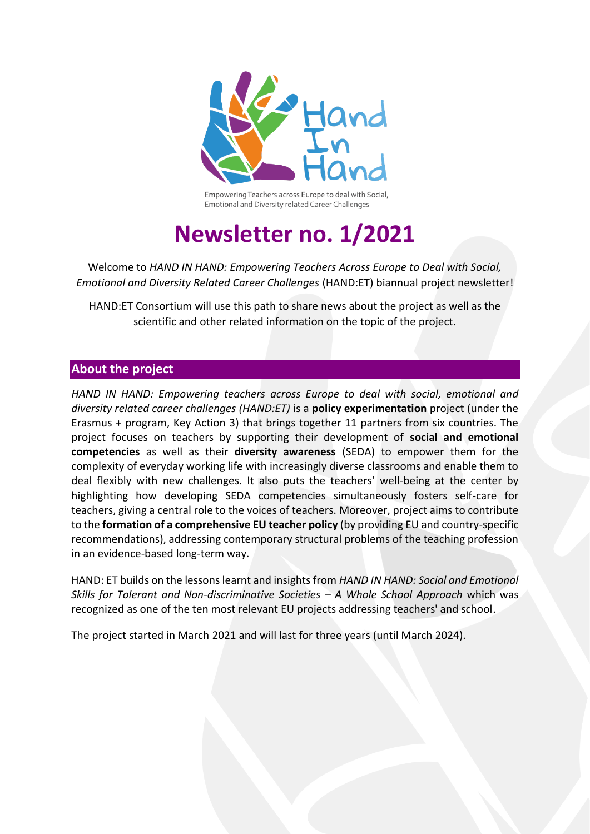

Empowering Teachers across Europe to deal with Social, Emotional and Diversity related Career Challenges

# **Newsletter no. 1/2021**

Welcome to *HAND IN HAND: Empowering Teachers Across Europe to Deal with Social, Emotional and Diversity Related Career Challenges* (HAND:ET) biannual project newsletter!

HAND:ET Consortium will use this path to share news about the project as well as the scientific and other related information on the topic of the project.

#### **About the project**

*HAND IN HAND: Empowering teachers across Europe to deal with social, emotional and diversity related career challenges (HAND:ET)* is a **policy experimentation** project (under the Erasmus + program, Key Action 3) that brings together 11 partners from six countries. The project focuses on teachers by supporting their development of **social and emotional competencies** as well as their **diversity awareness** (SEDA) to empower them for the complexity of everyday working life with increasingly diverse classrooms and enable them to deal flexibly with new challenges. It also puts the teachers' well-being at the center by highlighting how developing SEDA competencies simultaneously fosters self-care for teachers, giving a central role to the voices of teachers. Moreover, project aims to contribute to the **formation of a comprehensive EU teacher policy** (by providing EU and country-specific recommendations), addressing contemporary structural problems of the teaching profession in an evidence-based long-term way.

HAND: ET builds on the lessons learnt and insights from *HAND IN HAND: Social and Emotional Skills for Tolerant and Non-discriminative Societies – A Whole School Approach* which was recognized as one of the ten most relevant EU projects addressing teachers' and school.

The project started in March 2021 and will last for three years (until March 2024).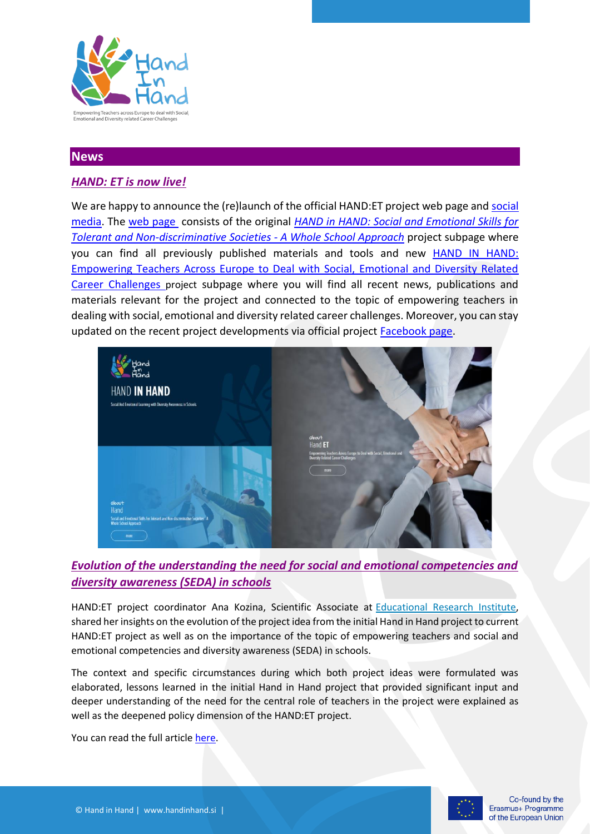

### **News**

## *HAND: ET is now live!*

We are happy to announce the (re)launch of the official HAND:ET project web page and social [media.](https://www.facebook.com/HANDinHAND.si) The [web page](https://handinhand.si/en/) consists of the original *[HAND in HAND: Social and Emotional Skills for](https://2017-20.handinhand.si/)  [Tolerant and Non-discriminative Societies -](https://2017-20.handinhand.si/) A Whole School Approach* project subpage where you can find all previously published materials and tools and new **HAND IN HAND**: [Empowering Teachers Across Europe to Deal with Social, Emotional and Diversity Related](https://handinhand.si/en/home2/)  [Career Challenges](https://handinhand.si/en/home2/) project subpage where you will find all recent news, publications and materials relevant for the project and connected to the topic of empowering teachers in dealing with social, emotional and diversity related career challenges. Moreover, you can stay updated on the recent project developments via official project [Facebook page.](https://www.facebook.com/HANDinHAND.si/)



## *Evolution of the understanding the need for social and emotional competencies and diversity awareness (SEDA) in schools*

HAND:ET project coordinator Ana Kozina, Scientific Associate at [Educational](https://www.pei.si/en/educational-research-institute/) Research Institute, shared her insights on the evolution of the project idea from the initial Hand in Hand project to current HAND:ET project as well as on the importance of the topic of empowering teachers and social and emotional competencies and diversity awareness (SEDA) in schools.

The context and specific circumstances during which both project ideas were formulated was elaborated, lessons learned in the initial Hand in Hand project that provided significant input and deeper understanding of the need for the central role of teachers in the project were explained as well as the deepened policy dimension of the HAND:ET project.

You can read the full article [here.](http://www.edupolicy.net/2021/10/27/evolution-of-the-understanding-the-need-for-social-and-emotional-competencies-and-diversity-awareness-seda-in-schools/)

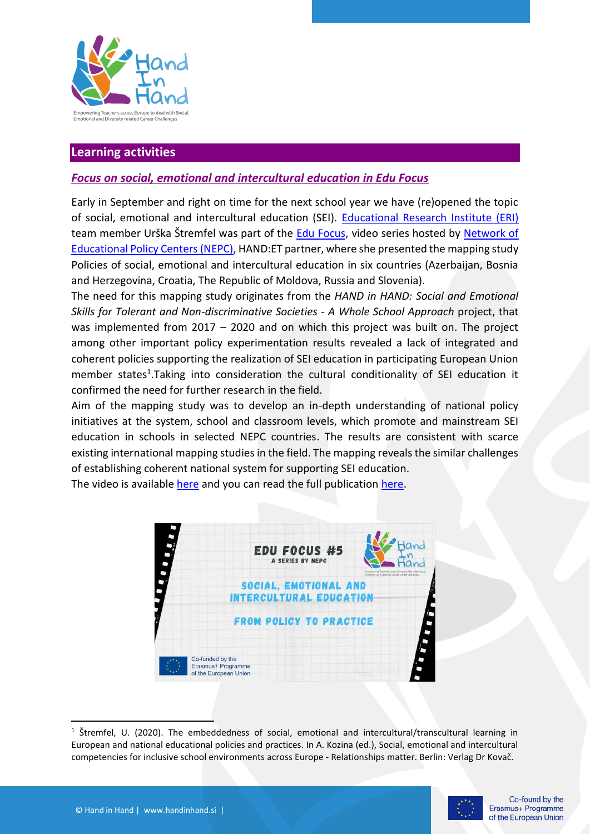

#### **Learning activities**

#### *Focus on social, emotional and intercultural education in Edu Focus*

Early in September and right on time for the next school year we have (re)opened the topic of social, emotional and intercultural education (SEI). [Educational Research Institute \(ERI\)](https://www.pei.si/en/educational-research-institute/) team member Urška Štremfel was part of the **Edu Focus**, video series hosted by Network of [Educational Policy Centers \(NEPC\),](http://www.edupolicy.net/) HAND:ET partner, where she presented the mapping study Policies of social, emotional and intercultural education in six countries (Azerbaijan, Bosnia and Herzegovina, Croatia, The Republic of Moldova, Russia and Slovenia).

The need for this mapping study originates from the *HAND in HAND: Social and Emotional Skills for Tolerant and Non-discriminative Societies - A Whole School Approach* project, that was implemented from 2017 – 2020 and on which this project was built on. The project among other important policy experimentation results revealed a lack of integrated and coherent policies supporting the realization of SEI education in participating European Union member states<sup>1</sup>. Taking into consideration the cultural conditionality of SEI education it confirmed the need for further research in the field.

Aim of the mapping study was to develop an in-depth understanding of national policy initiatives at the system, school and classroom levels, which promote and mainstream SEI education in schools in selected NEPC countries. The results are consistent with scarce existing international mapping studies in the field. The mapping reveals the similar challenges of establishing coherent national system for supporting SEI education.

The video is available [here](https://www.youtube.com/watch?v=MBxaTe-Vsrk) and you can read the full publicatio[n here.](https://bit.ly/3qe2Emr)



<sup>&</sup>lt;sup>1</sup> Štremfel, U. (2020). The embeddedness of social, emotional and intercultural/transcultural learning in European and national educational policies and practices. In A. Kozina (ed.), Social, emotional and intercultural competencies for inclusive school environments across Europe - Relationships matter. Berlin: Verlag Dr Kovač.

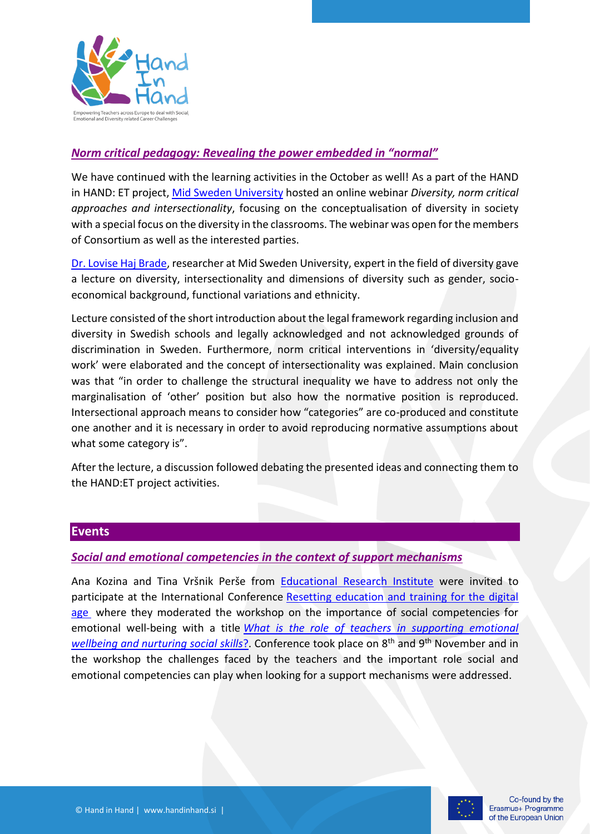

#### *Norm critical pedagogy: Revealing the power embedded in "normal"*

We have continued with the learning activities in the October as well! As a part of the HAND in HAND: ET project[, Mid Sweden University](https://www.miun.se/en/) hosted an online webinar *Diversity, norm critical approaches and intersectionality*, focusing on the conceptualisation of diversity in society with a special focus on the diversity in the classrooms. The webinar was open for the members of Consortium as well as the interested parties.

[Dr. Lovise Haj Brade,](https://www.miun.se/Personal/lovisehajbrade/),) researcher at Mid Sweden University, expert in the field of diversity gave a lecture on diversity, intersectionality and dimensions of diversity such as gender, socioeconomical background, functional variations and ethnicity.

Lecture consisted of the short introduction about the legal framework regarding inclusion and diversity in Swedish schools and legally acknowledged and not acknowledged grounds of discrimination in Sweden. Furthermore, norm critical interventions in 'diversity/equality work' were elaborated and the concept of intersectionality was explained. Main conclusion was that "in order to challenge the structural inequality we have to address not only the marginalisation of 'other' position but also how the normative position is reproduced. Intersectional approach means to consider how "categories" are co-produced and constitute one another and it is necessary in order to avoid reproducing normative assumptions about what some category is".

After the lecture, a discussion followed debating the presented ideas and connecting them to the HAND:ET project activities.

#### **Events**

#### *Social and emotional competencies in the context of support mechanisms*

Ana Kozina and Tina Vršnik Perše from [Educational Research Institute](https://www.pei.si/en/educational-research-institute/) were invited to participate at the International Conference [Resetting education and training for the digital](https://resetedu.eu/)  [age](https://resetedu.eu/) where they moderated the workshop on the importance of social competencies for emotional well-being with a title *[What is the role of teachers in supporting emotional](https://resetedu.eu/speakers/)  wellbeing and [nurturing social skills](https://resetedu.eu/speakers/)*?. Conference took place on 8th and 9th November and in the workshop the challenges faced by the teachers and the important role social and emotional competencies can play when looking for a support mechanisms were addressed.